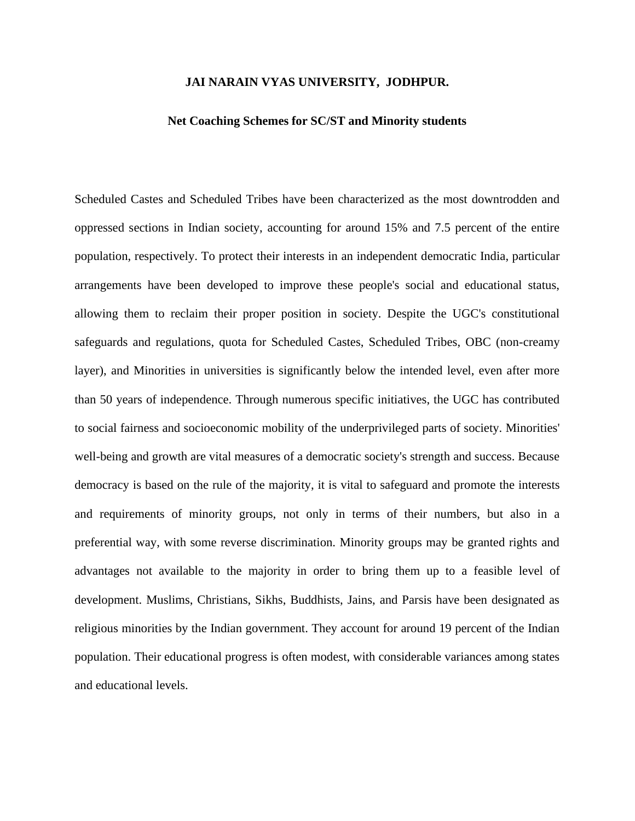## **JAI NARAIN VYAS UNIVERSITY, JODHPUR.**

## **Net Coaching Schemes for SC/ST and Minority students**

Scheduled Castes and Scheduled Tribes have been characterized as the most downtrodden and oppressed sections in Indian society, accounting for around 15% and 7.5 percent of the entire population, respectively. To protect their interests in an independent democratic India, particular arrangements have been developed to improve these people's social and educational status, allowing them to reclaim their proper position in society. Despite the UGC's constitutional safeguards and regulations, quota for Scheduled Castes, Scheduled Tribes, OBC (non-creamy layer), and Minorities in universities is significantly below the intended level, even after more than 50 years of independence. Through numerous specific initiatives, the UGC has contributed to social fairness and socioeconomic mobility of the underprivileged parts of society. Minorities' well-being and growth are vital measures of a democratic society's strength and success. Because democracy is based on the rule of the majority, it is vital to safeguard and promote the interests and requirements of minority groups, not only in terms of their numbers, but also in a preferential way, with some reverse discrimination. Minority groups may be granted rights and advantages not available to the majority in order to bring them up to a feasible level of development. Muslims, Christians, Sikhs, Buddhists, Jains, and Parsis have been designated as religious minorities by the Indian government. They account for around 19 percent of the Indian population. Their educational progress is often modest, with considerable variances among states and educational levels.